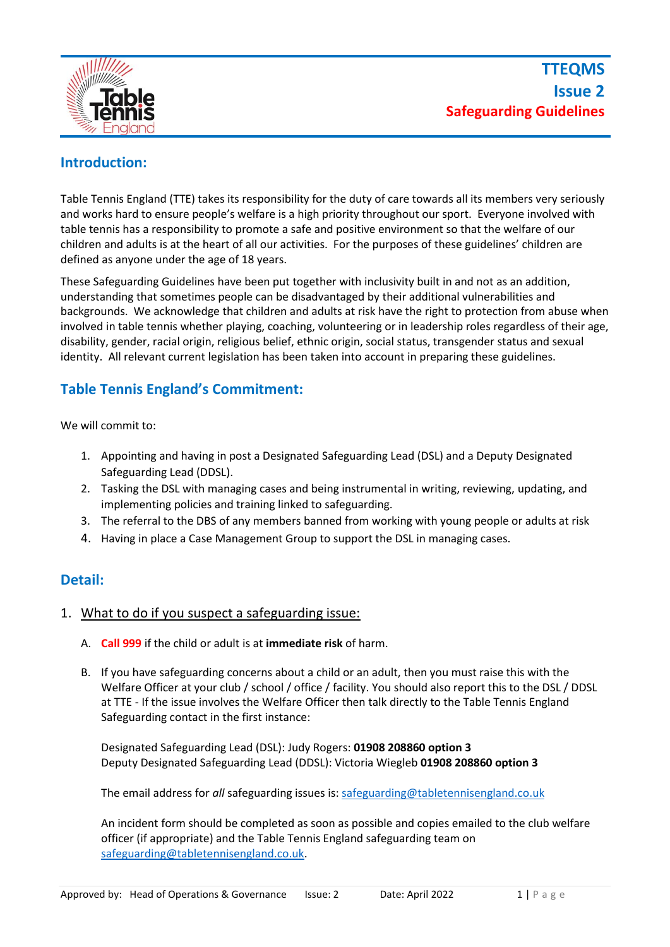

# **Introduction:**

Table Tennis England (TTE) takes its responsibility for the duty of care towards all its members very seriously and works hard to ensure people's welfare is a high priority throughout our sport. Everyone involved with table tennis has a responsibility to promote a safe and positive environment so that the welfare of our children and adults is at the heart of all our activities. For the purposes of these guidelines' children are defined as anyone under the age of 18 years.

These Safeguarding Guidelines have been put together with inclusivity built in and not as an addition, understanding that sometimes people can be disadvantaged by their additional vulnerabilities and backgrounds. We acknowledge that children and adults at risk have the right to protection from abuse when involved in table tennis whether playing, coaching, volunteering or in leadership roles regardless of their age, disability, gender, racial origin, religious belief, ethnic origin, social status, transgender status and sexual identity. All relevant current legislation has been taken into account in preparing these guidelines.

# **Table Tennis England's Commitment:**

We will commit to:

- 1. Appointing and having in post a Designated Safeguarding Lead (DSL) and a Deputy Designated Safeguarding Lead (DDSL).
- 2. Tasking the DSL with managing cases and being instrumental in writing, reviewing, updating, and implementing policies and training linked to safeguarding.
- 3. The referral to the DBS of any members banned from working with young people or adults at risk
- 4. Having in place a Case Management Group to support the DSL in managing cases.

### **Detail:**

- 1. What to do if you suspect a safeguarding issue:
	- A. **Call 999** if the child or adult is at **immediate risk** of harm.
	- B. If you have safeguarding concerns about a child or an adult, then you must raise this with the Welfare Officer at your club / school / office / facility. You should also report this to the DSL / DDSL at TTE - If the issue involves the Welfare Officer then talk directly to the Table Tennis England Safeguarding contact in the first instance:

Designated Safeguarding Lead (DSL): Judy Rogers: **01908 208860 option 3** Deputy Designated Safeguarding Lead (DDSL): Victoria Wiegleb **01908 208860 option 3**

The email address for *all* safeguarding issues is[: safeguarding@tabletennisengland.co.uk](mailto:safeguarding@tabletennisengland.co.uk)

An incident form should be completed as soon as possible and copies emailed to the club welfare officer (if appropriate) and the Table Tennis England safeguarding team on [safeguarding@tabletennisengland.co.uk.](mailto:safeguarding@tabletennisengland.co.uk)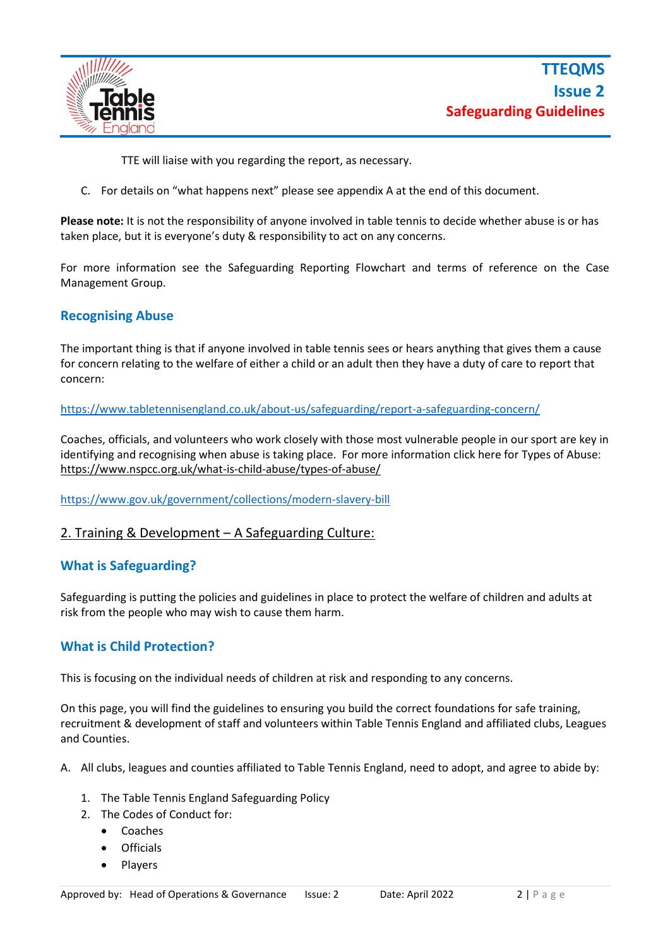

TTE will liaise with you regarding the report, as necessary.

C. For details on "what happens next" please see appendix A at the end of this document.

**Please note:** It is not the responsibility of anyone involved in table tennis to decide whether abuse is or has taken place, but it is everyone's duty & responsibility to act on any concerns.

For more information see the Safeguarding Reporting Flowchart and terms of reference on the Case Management Group.

#### **Recognising Abuse**

The important thing is that if anyone involved in table tennis sees or hears anything that gives them a cause for concern relating to the welfare of either a child or an adult then they have a duty of care to report that concern:

<https://www.tabletennisengland.co.uk/about-us/safeguarding/report-a-safeguarding-concern/>

Coaches, officials, and volunteers who work closely with those most vulnerable people in our sport are key in identifying and recognising when abuse is taking place. For more information click here for Types of Abuse: <https://www.nspcc.org.uk/what-is-child-abuse/types-of-abuse/>

<https://www.gov.uk/government/collections/modern-slavery-bill>

#### 2. Training & Development – A Safeguarding Culture:

#### **What is Safeguarding?**

Safeguarding is putting the policies and guidelines in place to protect the welfare of children and adults at risk from the people who may wish to cause them harm.

#### **What is Child Protection?**

This is focusing on the individual needs of children at risk and responding to any concerns.

On this page, you will find the guidelines to ensuring you build the correct foundations for safe training, recruitment & development of staff and volunteers within Table Tennis England and affiliated clubs, Leagues and Counties.

A. All clubs, leagues and counties affiliated to Table Tennis England, need to adopt, and agree to abide by:

- 1. The Table Tennis England Safeguarding Policy
- 2. The Codes of Conduct for:
	- Coaches
	- Officials
	- Players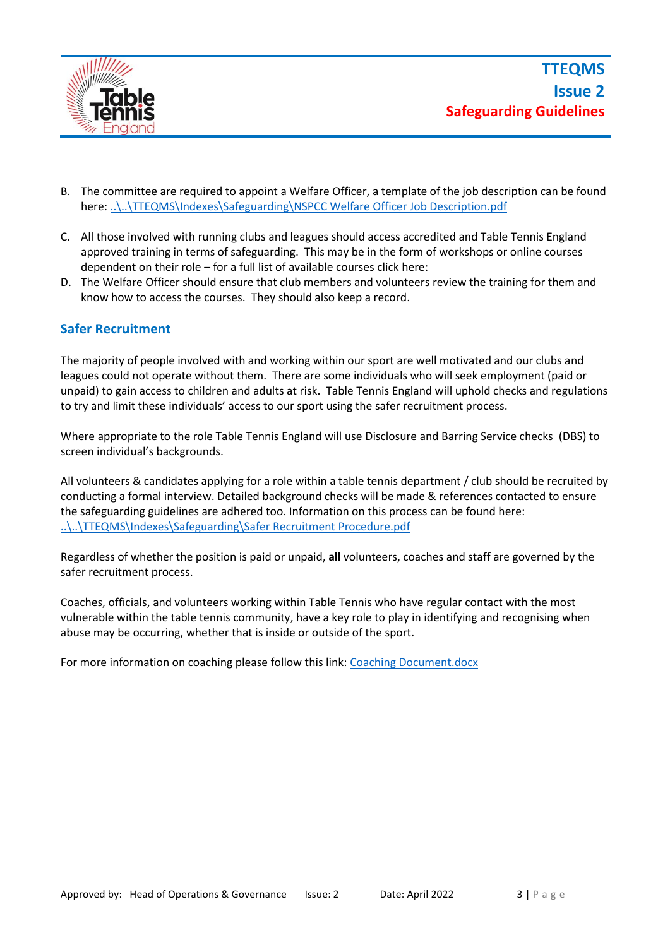

- B. The committee are required to appoint a Welfare Officer, a template of the job description can be found here: [..\..\TTEQMS\Indexes\Safeguarding\NSPCC Welfare Officer Job Description.pdf](file:///C:/Users/victoria.wiegleb/Dropbox%20(TTE)/TTEQMS/Indexes/Safeguarding/NSPCC%20Welfare%20Officer%20Job%20Description.pdf)
- C. All those involved with running clubs and leagues should access accredited and Table Tennis England approved training in terms of safeguarding. This may be in the form of workshops or online courses dependent on their role – for a full list of available courses click here:
- D. The Welfare Officer should ensure that club members and volunteers review the training for them and know how to access the courses. They should also keep a record.

#### **Safer Recruitment**

The majority of people involved with and working within our sport are well motivated and our clubs and leagues could not operate without them. There are some individuals who will seek employment (paid or unpaid) to gain access to children and adults at risk. Table Tennis England will uphold checks and regulations to try and limit these individuals' access to our sport using the safer recruitment process.

Where appropriate to the role Table Tennis England will use Disclosure and Barring Service checks (DBS) to screen individual's backgrounds.

All volunteers & candidates applying for a role within a table tennis department / club should be recruited by conducting a formal interview. Detailed background checks will be made & references contacted to ensure the safeguarding guidelines are adhered too. Information on this process can be found here: [..\..\TTEQMS\Indexes\Safeguarding\Safer Recruitment Procedure.pdf](file:///C:/Users/victoria.wiegleb/Dropbox%20(TTE)/TTEQMS/Indexes/Safeguarding/Safer%20Recruitment%20Procedure.pdf)

Regardless of whether the position is paid or unpaid, **all** volunteers, coaches and staff are governed by the safer recruitment process.

Coaches, officials, and volunteers working within Table Tennis who have regular contact with the most vulnerable within the table tennis community, have a key role to play in identifying and recognising when abuse may be occurring, whether that is inside or outside of the sport.

For more information on coaching please follow this link: [Coaching Document.docx](file:///C:/Users/victoria.wiegleb/AppData/Local/Packages/Microsoft.Office.Desktop_8wekyb3d8bbwe/AC/INetCache/Content.Outlook/6XAKYSSV/Coaching%20Document.docx)